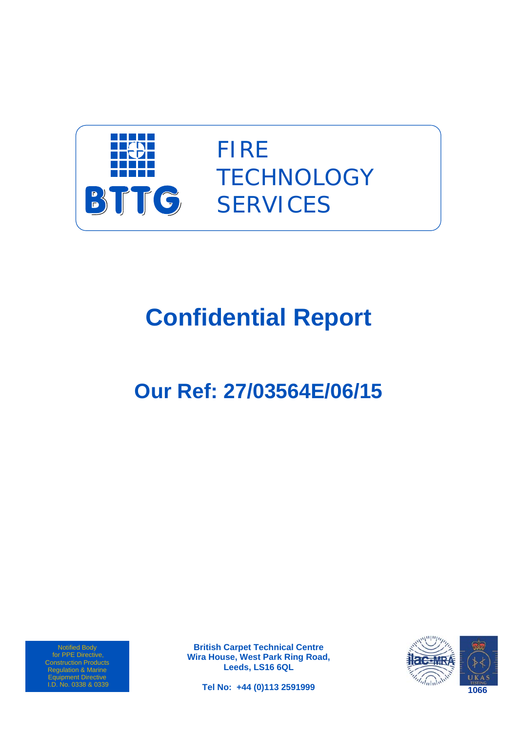

FIRE **TECHNOLOGY SERVICES** 

# **Confidential Report**

# **Our Ref: 27/03564E/06/15**

Notified Body for PPE Directive, Construction Products Regulation & Marine Equipment Directive I.D. No. 0338 & 0339

**British Carpet Technical Centre Wira House, West Park Ring Road, Leeds, LS16 6QL** 



**Tel No: +44 (0)113 2591999**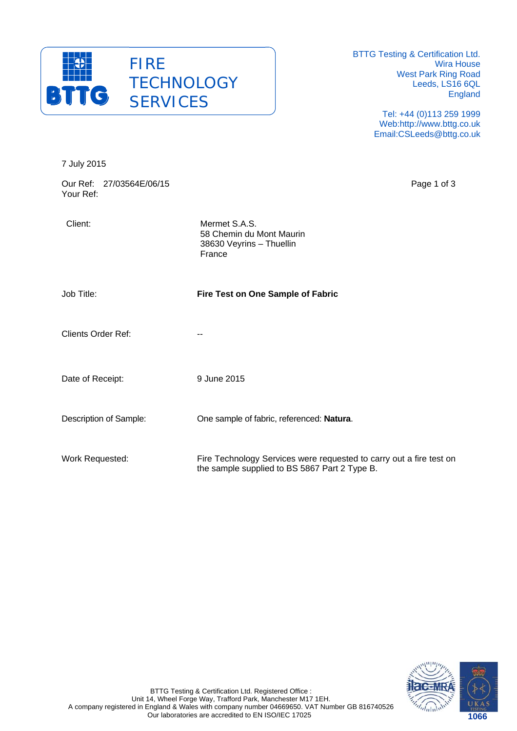

BTTG Testing & Certification Ltd. Wira House West Park Ring Road Leeds, LS16 6QL England

> Tel: +44 (0)113 259 1999 Web:http://www.bttg.co.uk Email:CSLeeds@bttg.co.uk

| 7 July 2015                           |                                                                                                                      |
|---------------------------------------|----------------------------------------------------------------------------------------------------------------------|
| Our Ref: 27/03564E/06/15<br>Your Ref: | Page 1 of 3                                                                                                          |
| Client:                               | Mermet S.A.S.<br>58 Chemin du Mont Maurin<br>38630 Veyrins - Thuellin<br>France                                      |
| Job Title:                            | Fire Test on One Sample of Fabric                                                                                    |
| <b>Clients Order Ref:</b>             | --                                                                                                                   |
| Date of Receipt:                      | 9 June 2015                                                                                                          |
| Description of Sample:                | One sample of fabric, referenced: Natura.                                                                            |
| Work Requested:                       | Fire Technology Services were requested to carry out a fire test on<br>the sample supplied to BS 5867 Part 2 Type B. |

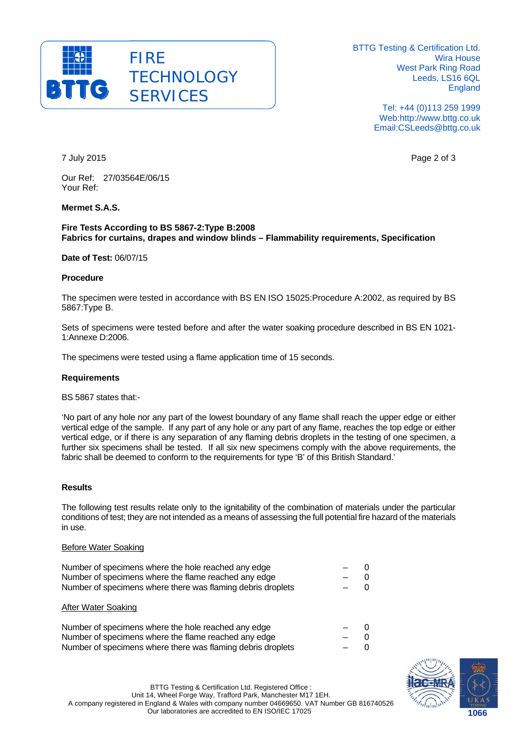

BTTG Testing & Certification Ltd. Wira House West Park Ring Road Leeds, LS16 6QL England

> Tel: +44 (0)113 259 1999 Web:http://www.bttg.co.uk Email:CSLeeds@bttg.co.uk

7 July 2015 Page 2 of 3

Our Ref: 27/03564E/06/15 Your Ref:

## **Mermet S.A.S.**

#### **Fire Tests According to BS 5867-2:Type B:2008 Fabrics for curtains, drapes and window blinds – Flammability requirements, Specification**

#### **Date of Test:** 06/07/15

#### **Procedure**

The specimen were tested in accordance with BS EN ISO 15025:Procedure A:2002, as required by BS 5867:Type B.

Sets of specimens were tested before and after the water soaking procedure described in BS EN 1021- 1:Annexe D:2006.

The specimens were tested using a flame application time of 15 seconds.

#### **Requirements**

BS 5867 states that:-

'No part of any hole nor any part of the lowest boundary of any flame shall reach the upper edge or either vertical edge of the sample. If any part of any hole or any part of any flame, reaches the top edge or either vertical edge, or if there is any separation of any flaming debris droplets in the testing of one specimen, a further six specimens shall be tested. If all six new specimens comply with the above requirements, the fabric shall be deemed to conform to the requirements for type 'B' of this British Standard.'

#### **Results**

The following test results relate only to the ignitability of the combination of materials under the particular conditions of test; they are not intended as a means of assessing the full potential fire hazard of the materials in use.

#### Before Water Soaking

| Number of specimens where the hole reached any edge         | $ -$  | - 0 |
|-------------------------------------------------------------|-------|-----|
| Number of specimens where the flame reached any edge        | $-$ 0 |     |
| Number of specimens where there was flaming debris droplets | $-$ 0 |     |
|                                                             |       |     |

#### After Water Soaking

| Number of specimens where the hole reached any edge         | $-$ ()   |  |
|-------------------------------------------------------------|----------|--|
| Number of specimens where the flame reached any edge        | $\sim$ 0 |  |
| Number of specimens where there was flaming debris droplets | $-$ 0    |  |